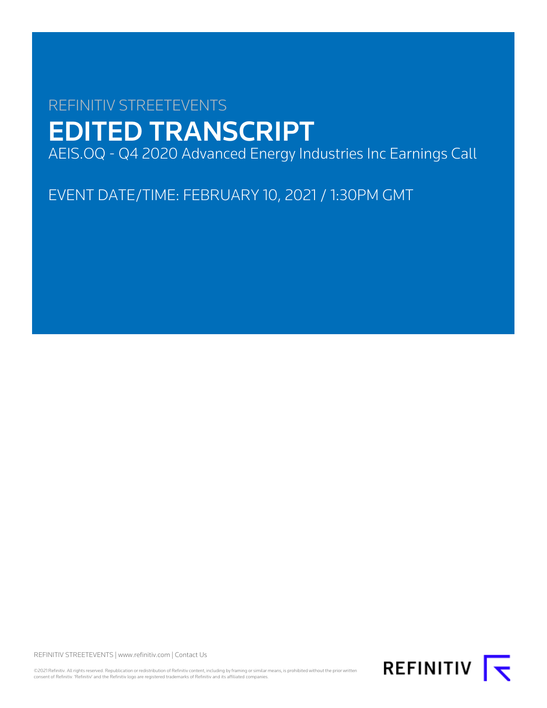# REFINITIV STREETEVENTS EDITED TRANSCRIPT AEIS.OQ - Q4 2020 Advanced Energy Industries Inc Earnings Call

EVENT DATE/TIME: FEBRUARY 10, 2021 / 1:30PM GMT

REFINITIV STREETEVENTS | [www.refinitiv.com](https://www.refinitiv.com/) | [Contact Us](https://www.refinitiv.com/en/contact-us)

©2021 Refinitiv. All rights reserved. Republication or redistribution of Refinitiv content, including by framing or similar means, is prohibited without the prior written consent of Refinitiv. 'Refinitiv' and the Refinitiv logo are registered trademarks of Refinitiv and its affiliated companies.

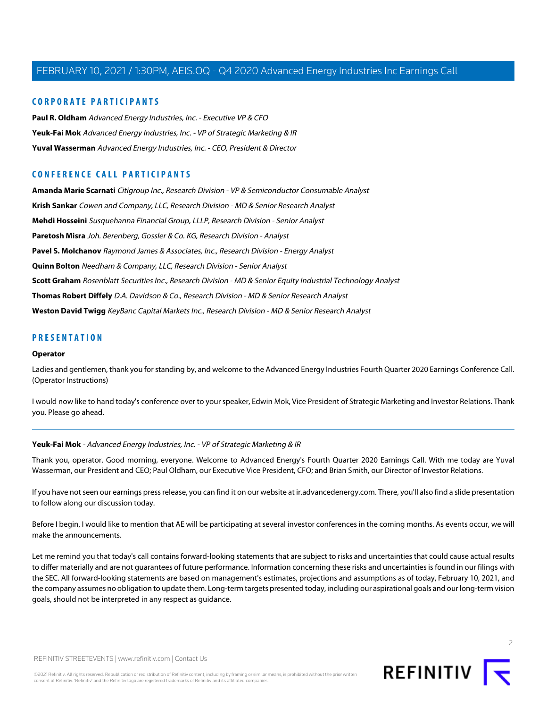# **CORPORATE PARTICIPANTS**

**[Paul R. Oldham](#page-4-0)** Advanced Energy Industries, Inc. - Executive VP & CFO **[Yeuk-Fai Mok](#page-1-0)** Advanced Energy Industries, Inc. - VP of Strategic Marketing & IR **[Yuval Wasserman](#page-2-0)** Advanced Energy Industries, Inc. - CEO, President & Director

# **CONFERENCE CALL PARTICIPANTS**

**[Amanda Marie Scarnati](#page-14-0)** Citigroup Inc., Research Division - VP & Semiconductor Consumable Analyst **[Krish Sankar](#page-13-0)** Cowen and Company, LLC, Research Division - MD & Senior Research Analyst **[Mehdi Hosseini](#page-7-0)** Susquehanna Financial Group, LLLP, Research Division - Senior Analyst **[Paretosh Misra](#page-16-0)** Joh. Berenberg, Gossler & Co. KG, Research Division - Analyst **[Pavel S. Molchanov](#page-15-0)** Raymond James & Associates, Inc., Research Division - Energy Analyst **[Quinn Bolton](#page-11-0)** Needham & Company, LLC, Research Division - Senior Analyst **[Scott Graham](#page-8-0)** Rosenblatt Securities Inc., Research Division - MD & Senior Equity Industrial Technology Analyst **[Thomas Robert Diffely](#page-9-0)** D.A. Davidson & Co., Research Division - MD & Senior Research Analyst **[Weston David Twigg](#page-17-0)** KeyBanc Capital Markets Inc., Research Division - MD & Senior Research Analyst

# **PRESENTATION**

#### **Operator**

Ladies and gentlemen, thank you for standing by, and welcome to the Advanced Energy Industries Fourth Quarter 2020 Earnings Conference Call. (Operator Instructions)

<span id="page-1-0"></span>I would now like to hand today's conference over to your speaker, Edwin Mok, Vice President of Strategic Marketing and Investor Relations. Thank you. Please go ahead.

#### **Yeuk-Fai Mok** - Advanced Energy Industries, Inc. - VP of Strategic Marketing & IR

Thank you, operator. Good morning, everyone. Welcome to Advanced Energy's Fourth Quarter 2020 Earnings Call. With me today are Yuval Wasserman, our President and CEO; Paul Oldham, our Executive Vice President, CFO; and Brian Smith, our Director of Investor Relations.

If you have not seen our earnings press release, you can find it on our website at ir.advancedenergy.com. There, you'll also find a slide presentation to follow along our discussion today.

Before I begin, I would like to mention that AE will be participating at several investor conferences in the coming months. As events occur, we will make the announcements.

Let me remind you that today's call contains forward-looking statements that are subject to risks and uncertainties that could cause actual results to differ materially and are not guarantees of future performance. Information concerning these risks and uncertainties is found in our filings with the SEC. All forward-looking statements are based on management's estimates, projections and assumptions as of today, February 10, 2021, and the company assumes no obligation to update them. Long-term targets presented today, including our aspirational goals and our long-term vision goals, should not be interpreted in any respect as guidance.

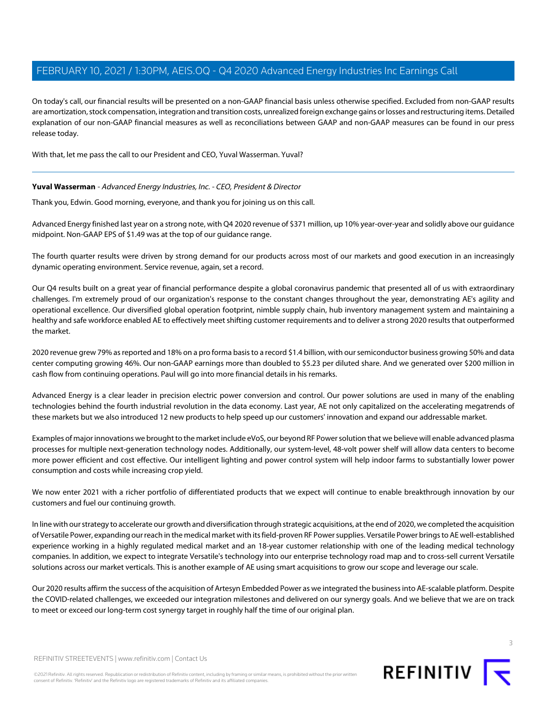On today's call, our financial results will be presented on a non-GAAP financial basis unless otherwise specified. Excluded from non-GAAP results are amortization, stock compensation, integration and transition costs, unrealized foreign exchange gains or losses and restructuring items. Detailed explanation of our non-GAAP financial measures as well as reconciliations between GAAP and non-GAAP measures can be found in our press release today.

<span id="page-2-0"></span>With that, let me pass the call to our President and CEO, Yuval Wasserman. Yuval?

# **Yuval Wasserman** - Advanced Energy Industries, Inc. - CEO, President & Director

Thank you, Edwin. Good morning, everyone, and thank you for joining us on this call.

Advanced Energy finished last year on a strong note, with Q4 2020 revenue of \$371 million, up 10% year-over-year and solidly above our guidance midpoint. Non-GAAP EPS of \$1.49 was at the top of our guidance range.

The fourth quarter results were driven by strong demand for our products across most of our markets and good execution in an increasingly dynamic operating environment. Service revenue, again, set a record.

Our Q4 results built on a great year of financial performance despite a global coronavirus pandemic that presented all of us with extraordinary challenges. I'm extremely proud of our organization's response to the constant changes throughout the year, demonstrating AE's agility and operational excellence. Our diversified global operation footprint, nimble supply chain, hub inventory management system and maintaining a healthy and safe workforce enabled AE to effectively meet shifting customer requirements and to deliver a strong 2020 results that outperformed the market.

2020 revenue grew 79% as reported and 18% on a pro forma basis to a record \$1.4 billion, with our semiconductor business growing 50% and data center computing growing 46%. Our non-GAAP earnings more than doubled to \$5.23 per diluted share. And we generated over \$200 million in cash flow from continuing operations. Paul will go into more financial details in his remarks.

Advanced Energy is a clear leader in precision electric power conversion and control. Our power solutions are used in many of the enabling technologies behind the fourth industrial revolution in the data economy. Last year, AE not only capitalized on the accelerating megatrends of these markets but we also introduced 12 new products to help speed up our customers' innovation and expand our addressable market.

Examples of major innovations we brought to the market include eVoS, our beyond RF Power solution that we believe will enable advanced plasma processes for multiple next-generation technology nodes. Additionally, our system-level, 48-volt power shelf will allow data centers to become more power efficient and cost effective. Our intelligent lighting and power control system will help indoor farms to substantially lower power consumption and costs while increasing crop yield.

We now enter 2021 with a richer portfolio of differentiated products that we expect will continue to enable breakthrough innovation by our customers and fuel our continuing growth.

In line with our strategy to accelerate our growth and diversification through strategic acquisitions, at the end of 2020, we completed the acquisition of Versatile Power, expanding our reach in the medical market with its field-proven RF Power supplies. Versatile Power brings to AE well-established experience working in a highly regulated medical market and an 18-year customer relationship with one of the leading medical technology companies. In addition, we expect to integrate Versatile's technology into our enterprise technology road map and to cross-sell current Versatile solutions across our market verticals. This is another example of AE using smart acquisitions to grow our scope and leverage our scale.

Our 2020 results affirm the success of the acquisition of Artesyn Embedded Power as we integrated the business into AE-scalable platform. Despite the COVID-related challenges, we exceeded our integration milestones and delivered on our synergy goals. And we believe that we are on track to meet or exceed our long-term cost synergy target in roughly half the time of our original plan.

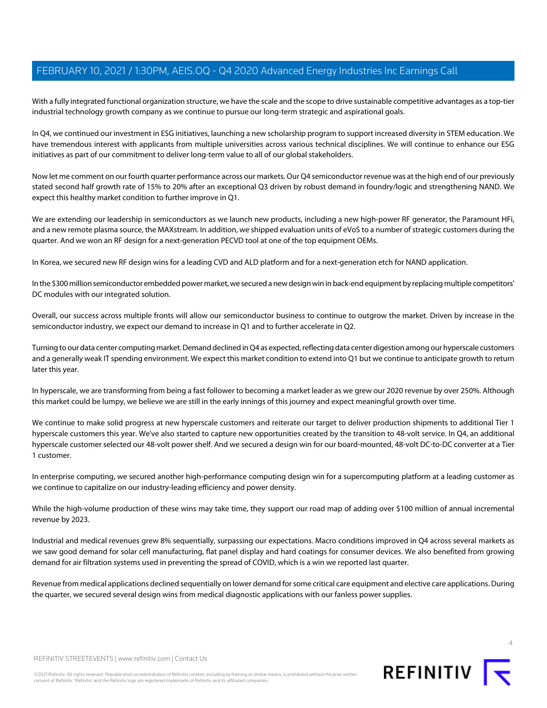With a fully integrated functional organization structure, we have the scale and the scope to drive sustainable competitive advantages as a top-tier industrial technology growth company as we continue to pursue our long-term strategic and aspirational goals.

In Q4, we continued our investment in ESG initiatives, launching a new scholarship program to support increased diversity in STEM education. We have tremendous interest with applicants from multiple universities across various technical disciplines. We will continue to enhance our ESG initiatives as part of our commitment to deliver long-term value to all of our global stakeholders.

Now let me comment on our fourth quarter performance across our markets. Our Q4 semiconductor revenue was at the high end of our previously stated second half growth rate of 15% to 20% after an exceptional Q3 driven by robust demand in foundry/logic and strengthening NAND. We expect this healthy market condition to further improve in Q1.

We are extending our leadership in semiconductors as we launch new products, including a new high-power RF generator, the Paramount HFi, and a new remote plasma source, the MAXstream. In addition, we shipped evaluation units of eVoS to a number of strategic customers during the quarter. And we won an RF design for a next-generation PECVD tool at one of the top equipment OEMs.

In Korea, we secured new RF design wins for a leading CVD and ALD platform and for a next-generation etch for NAND application.

In the \$300 million semiconductor embedded power market, we secured a new design win in back-end equipment by replacing multiple competitors' DC modules with our integrated solution.

Overall, our success across multiple fronts will allow our semiconductor business to continue to outgrow the market. Driven by increase in the semiconductor industry, we expect our demand to increase in Q1 and to further accelerate in Q2.

Turning to our data center computing market. Demand declined in Q4 as expected, reflecting data center digestion among our hyperscale customers and a generally weak IT spending environment. We expect this market condition to extend into Q1 but we continue to anticipate growth to return later this year.

In hyperscale, we are transforming from being a fast follower to becoming a market leader as we grew our 2020 revenue by over 250%. Although this market could be lumpy, we believe we are still in the early innings of this journey and expect meaningful growth over time.

We continue to make solid progress at new hyperscale customers and reiterate our target to deliver production shipments to additional Tier 1 hyperscale customers this year. We've also started to capture new opportunities created by the transition to 48-volt service. In Q4, an additional hyperscale customer selected our 48-volt power shelf. And we secured a design win for our board-mounted, 48-volt DC-to-DC converter at a Tier 1 customer.

In enterprise computing, we secured another high-performance computing design win for a supercomputing platform at a leading customer as we continue to capitalize on our industry-leading efficiency and power density.

While the high-volume production of these wins may take time, they support our road map of adding over \$100 million of annual incremental revenue by 2023.

Industrial and medical revenues grew 8% sequentially, surpassing our expectations. Macro conditions improved in Q4 across several markets as we saw good demand for solar cell manufacturing, flat panel display and hard coatings for consumer devices. We also benefited from growing demand for air filtration systems used in preventing the spread of COVID, which is a win we reported last quarter.

Revenue from medical applications declined sequentially on lower demand for some critical care equipment and elective care applications. During the quarter, we secured several design wins from medical diagnostic applications with our fanless power supplies.

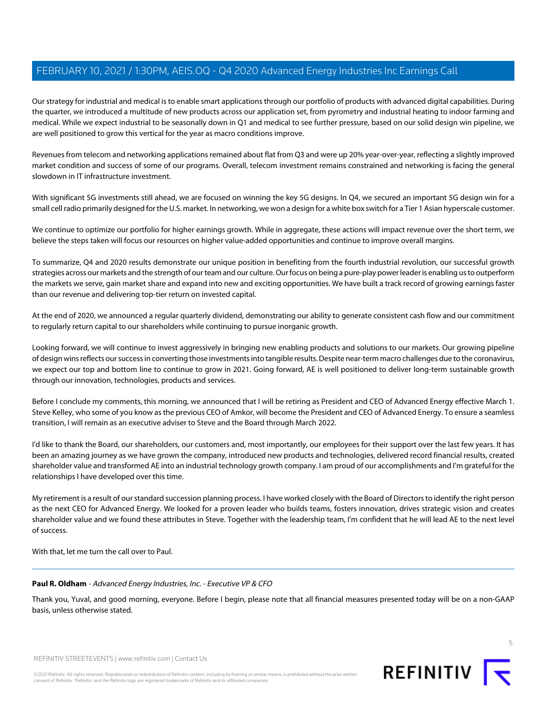Our strategy for industrial and medical is to enable smart applications through our portfolio of products with advanced digital capabilities. During the quarter, we introduced a multitude of new products across our application set, from pyrometry and industrial heating to indoor farming and medical. While we expect industrial to be seasonally down in Q1 and medical to see further pressure, based on our solid design win pipeline, we are well positioned to grow this vertical for the year as macro conditions improve.

Revenues from telecom and networking applications remained about flat from Q3 and were up 20% year-over-year, reflecting a slightly improved market condition and success of some of our programs. Overall, telecom investment remains constrained and networking is facing the general slowdown in IT infrastructure investment.

With significant 5G investments still ahead, we are focused on winning the key 5G designs. In Q4, we secured an important 5G design win for a small cell radio primarily designed for the U.S. market. In networking, we won a design for a white box switch for a Tier 1 Asian hyperscale customer.

We continue to optimize our portfolio for higher earnings growth. While in aggregate, these actions will impact revenue over the short term, we believe the steps taken will focus our resources on higher value-added opportunities and continue to improve overall margins.

To summarize, Q4 and 2020 results demonstrate our unique position in benefiting from the fourth industrial revolution, our successful growth strategies across our markets and the strength of our team and our culture. Our focus on being a pure-play power leader is enabling us to outperform the markets we serve, gain market share and expand into new and exciting opportunities. We have built a track record of growing earnings faster than our revenue and delivering top-tier return on invested capital.

At the end of 2020, we announced a regular quarterly dividend, demonstrating our ability to generate consistent cash flow and our commitment to regularly return capital to our shareholders while continuing to pursue inorganic growth.

Looking forward, we will continue to invest aggressively in bringing new enabling products and solutions to our markets. Our growing pipeline of design wins reflects our success in converting those investments into tangible results. Despite near-term macro challenges due to the coronavirus, we expect our top and bottom line to continue to grow in 2021. Going forward, AE is well positioned to deliver long-term sustainable growth through our innovation, technologies, products and services.

Before I conclude my comments, this morning, we announced that I will be retiring as President and CEO of Advanced Energy effective March 1. Steve Kelley, who some of you know as the previous CEO of Amkor, will become the President and CEO of Advanced Energy. To ensure a seamless transition, I will remain as an executive adviser to Steve and the Board through March 2022.

I'd like to thank the Board, our shareholders, our customers and, most importantly, our employees for their support over the last few years. It has been an amazing journey as we have grown the company, introduced new products and technologies, delivered record financial results, created shareholder value and transformed AE into an industrial technology growth company. I am proud of our accomplishments and I'm grateful for the relationships I have developed over this time.

My retirement is a result of our standard succession planning process. I have worked closely with the Board of Directors to identify the right person as the next CEO for Advanced Energy. We looked for a proven leader who builds teams, fosters innovation, drives strategic vision and creates shareholder value and we found these attributes in Steve. Together with the leadership team, I'm confident that he will lead AE to the next level of success.

<span id="page-4-0"></span>With that, let me turn the call over to Paul.

# **Paul R. Oldham** - Advanced Energy Industries, Inc. - Executive VP & CFO

Thank you, Yuval, and good morning, everyone. Before I begin, please note that all financial measures presented today will be on a non-GAAP basis, unless otherwise stated.



©2021 Refinitiv. All rights reserved. Republication or redistribution of Refinitiv content, including by framing or similar means, is prohibited without the prior written consent of Refinitiv. 'Refinitiv' and the Refinitiv logo are registered trademarks of Refinitiv and its affiliated companies.

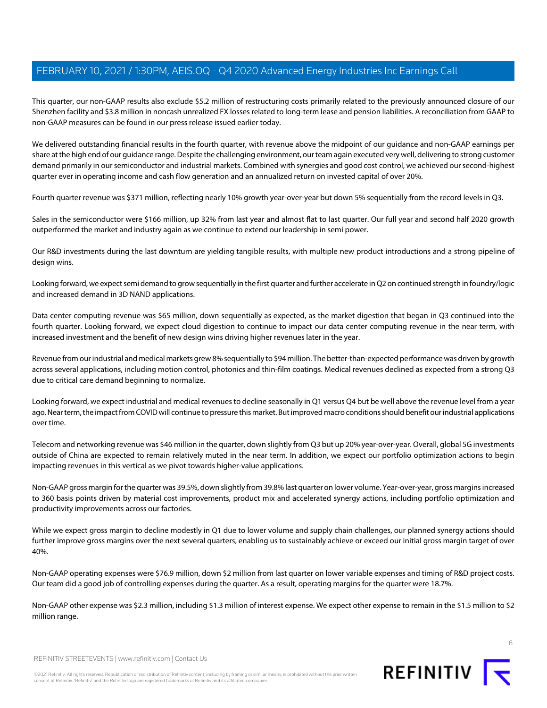This quarter, our non-GAAP results also exclude \$5.2 million of restructuring costs primarily related to the previously announced closure of our Shenzhen facility and \$3.8 million in noncash unrealized FX losses related to long-term lease and pension liabilities. A reconciliation from GAAP to non-GAAP measures can be found in our press release issued earlier today.

We delivered outstanding financial results in the fourth quarter, with revenue above the midpoint of our guidance and non-GAAP earnings per share at the high end of our guidance range. Despite the challenging environment, our team again executed very well, delivering to strong customer demand primarily in our semiconductor and industrial markets. Combined with synergies and good cost control, we achieved our second-highest quarter ever in operating income and cash flow generation and an annualized return on invested capital of over 20%.

Fourth quarter revenue was \$371 million, reflecting nearly 10% growth year-over-year but down 5% sequentially from the record levels in Q3.

Sales in the semiconductor were \$166 million, up 32% from last year and almost flat to last quarter. Our full year and second half 2020 growth outperformed the market and industry again as we continue to extend our leadership in semi power.

Our R&D investments during the last downturn are yielding tangible results, with multiple new product introductions and a strong pipeline of design wins.

Looking forward, we expect semi demand to grow sequentially in the first quarter and further accelerate in Q2 on continued strength in foundry/logic and increased demand in 3D NAND applications.

Data center computing revenue was \$65 million, down sequentially as expected, as the market digestion that began in Q3 continued into the fourth quarter. Looking forward, we expect cloud digestion to continue to impact our data center computing revenue in the near term, with increased investment and the benefit of new design wins driving higher revenues later in the year.

Revenue from our industrial and medical markets grew 8% sequentially to \$94 million. The better-than-expected performance was driven by growth across several applications, including motion control, photonics and thin-film coatings. Medical revenues declined as expected from a strong Q3 due to critical care demand beginning to normalize.

Looking forward, we expect industrial and medical revenues to decline seasonally in Q1 versus Q4 but be well above the revenue level from a year ago. Near term, the impact from COVID will continue to pressure this market. But improved macro conditions should benefit our industrial applications over time.

Telecom and networking revenue was \$46 million in the quarter, down slightly from Q3 but up 20% year-over-year. Overall, global 5G investments outside of China are expected to remain relatively muted in the near term. In addition, we expect our portfolio optimization actions to begin impacting revenues in this vertical as we pivot towards higher-value applications.

Non-GAAP gross margin for the quarter was 39.5%, down slightly from 39.8% last quarter on lower volume. Year-over-year, gross margins increased to 360 basis points driven by material cost improvements, product mix and accelerated synergy actions, including portfolio optimization and productivity improvements across our factories.

While we expect gross margin to decline modestly in Q1 due to lower volume and supply chain challenges, our planned synergy actions should further improve gross margins over the next several quarters, enabling us to sustainably achieve or exceed our initial gross margin target of over 40%.

Non-GAAP operating expenses were \$76.9 million, down \$2 million from last quarter on lower variable expenses and timing of R&D project costs. Our team did a good job of controlling expenses during the quarter. As a result, operating margins for the quarter were 18.7%.

Non-GAAP other expense was \$2.3 million, including \$1.3 million of interest expense. We expect other expense to remain in the \$1.5 million to \$2 million range.

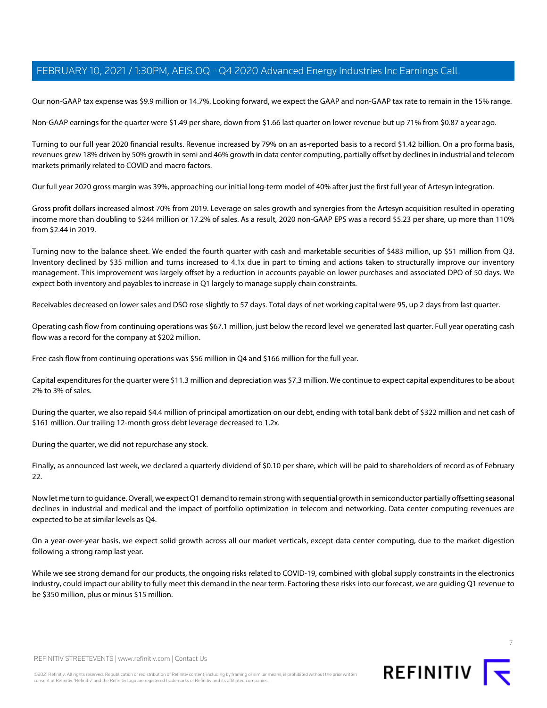Our non-GAAP tax expense was \$9.9 million or 14.7%. Looking forward, we expect the GAAP and non-GAAP tax rate to remain in the 15% range.

Non-GAAP earnings for the quarter were \$1.49 per share, down from \$1.66 last quarter on lower revenue but up 71% from \$0.87 a year ago.

Turning to our full year 2020 financial results. Revenue increased by 79% on an as-reported basis to a record \$1.42 billion. On a pro forma basis, revenues grew 18% driven by 50% growth in semi and 46% growth in data center computing, partially offset by declines in industrial and telecom markets primarily related to COVID and macro factors.

Our full year 2020 gross margin was 39%, approaching our initial long-term model of 40% after just the first full year of Artesyn integration.

Gross profit dollars increased almost 70% from 2019. Leverage on sales growth and synergies from the Artesyn acquisition resulted in operating income more than doubling to \$244 million or 17.2% of sales. As a result, 2020 non-GAAP EPS was a record \$5.23 per share, up more than 110% from \$2.44 in 2019.

Turning now to the balance sheet. We ended the fourth quarter with cash and marketable securities of \$483 million, up \$51 million from Q3. Inventory declined by \$35 million and turns increased to 4.1x due in part to timing and actions taken to structurally improve our inventory management. This improvement was largely offset by a reduction in accounts payable on lower purchases and associated DPO of 50 days. We expect both inventory and payables to increase in Q1 largely to manage supply chain constraints.

Receivables decreased on lower sales and DSO rose slightly to 57 days. Total days of net working capital were 95, up 2 days from last quarter.

Operating cash flow from continuing operations was \$67.1 million, just below the record level we generated last quarter. Full year operating cash flow was a record for the company at \$202 million.

Free cash flow from continuing operations was \$56 million in Q4 and \$166 million for the full year.

Capital expenditures for the quarter were \$11.3 million and depreciation was \$7.3 million. We continue to expect capital expenditures to be about 2% to 3% of sales.

During the quarter, we also repaid \$4.4 million of principal amortization on our debt, ending with total bank debt of \$322 million and net cash of \$161 million. Our trailing 12-month gross debt leverage decreased to 1.2x.

During the quarter, we did not repurchase any stock.

Finally, as announced last week, we declared a quarterly dividend of \$0.10 per share, which will be paid to shareholders of record as of February 22.

Now let me turn to guidance. Overall, we expect Q1 demand to remain strong with sequential growth in semiconductor partially offsetting seasonal declines in industrial and medical and the impact of portfolio optimization in telecom and networking. Data center computing revenues are expected to be at similar levels as Q4.

On a year-over-year basis, we expect solid growth across all our market verticals, except data center computing, due to the market digestion following a strong ramp last year.

While we see strong demand for our products, the ongoing risks related to COVID-19, combined with global supply constraints in the electronics industry, could impact our ability to fully meet this demand in the near term. Factoring these risks into our forecast, we are guiding Q1 revenue to be \$350 million, plus or minus \$15 million.

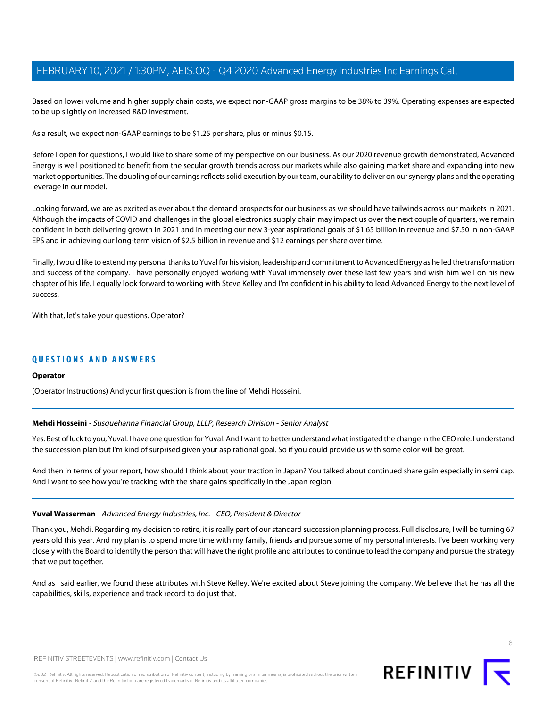Based on lower volume and higher supply chain costs, we expect non-GAAP gross margins to be 38% to 39%. Operating expenses are expected to be up slightly on increased R&D investment.

As a result, we expect non-GAAP earnings to be \$1.25 per share, plus or minus \$0.15.

Before I open for questions, I would like to share some of my perspective on our business. As our 2020 revenue growth demonstrated, Advanced Energy is well positioned to benefit from the secular growth trends across our markets while also gaining market share and expanding into new market opportunities. The doubling of our earnings reflects solid execution by our team, our ability to deliver on our synergy plans and the operating leverage in our model.

Looking forward, we are as excited as ever about the demand prospects for our business as we should have tailwinds across our markets in 2021. Although the impacts of COVID and challenges in the global electronics supply chain may impact us over the next couple of quarters, we remain confident in both delivering growth in 2021 and in meeting our new 3-year aspirational goals of \$1.65 billion in revenue and \$7.50 in non-GAAP EPS and in achieving our long-term vision of \$2.5 billion in revenue and \$12 earnings per share over time.

Finally, I would like to extend my personal thanks to Yuval for his vision, leadership and commitment to Advanced Energy as he led the transformation and success of the company. I have personally enjoyed working with Yuval immensely over these last few years and wish him well on his new chapter of his life. I equally look forward to working with Steve Kelley and I'm confident in his ability to lead Advanced Energy to the next level of success.

With that, let's take your questions. Operator?

# **QUESTIONS AND ANSWERS**

#### <span id="page-7-0"></span>**Operator**

(Operator Instructions) And your first question is from the line of Mehdi Hosseini.

#### **Mehdi Hosseini** - Susquehanna Financial Group, LLLP, Research Division - Senior Analyst

Yes. Best of luck to you, Yuval. I have one question for Yuval. And I want to better understand what instigated the change in the CEO role. I understand the succession plan but I'm kind of surprised given your aspirational goal. So if you could provide us with some color will be great.

And then in terms of your report, how should I think about your traction in Japan? You talked about continued share gain especially in semi cap. And I want to see how you're tracking with the share gains specifically in the Japan region.

#### **Yuval Wasserman** - Advanced Energy Industries, Inc. - CEO, President & Director

Thank you, Mehdi. Regarding my decision to retire, it is really part of our standard succession planning process. Full disclosure, I will be turning 67 years old this year. And my plan is to spend more time with my family, friends and pursue some of my personal interests. I've been working very closely with the Board to identify the person that will have the right profile and attributes to continue to lead the company and pursue the strategy that we put together.

And as I said earlier, we found these attributes with Steve Kelley. We're excited about Steve joining the company. We believe that he has all the capabilities, skills, experience and track record to do just that.

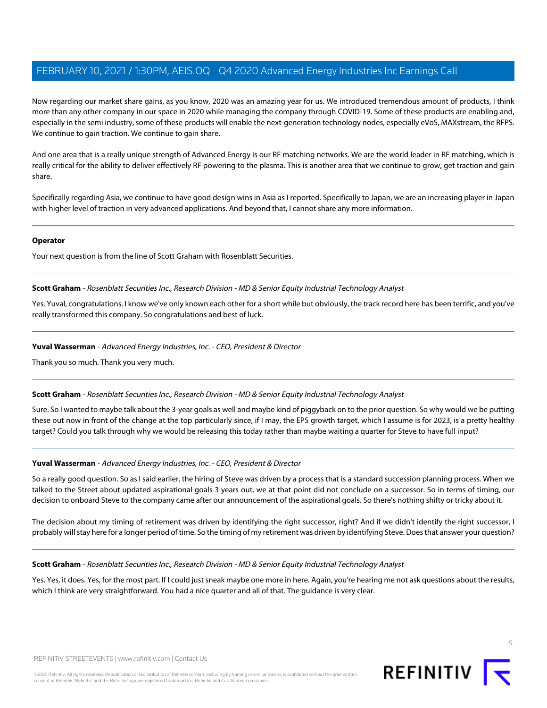Now regarding our market share gains, as you know, 2020 was an amazing year for us. We introduced tremendous amount of products, I think more than any other company in our space in 2020 while managing the company through COVID-19. Some of these products are enabling and, especially in the semi industry, some of these products will enable the next-generation technology nodes, especially eVoS, MAXstream, the RFPS. We continue to gain traction. We continue to gain share.

And one area that is a really unique strength of Advanced Energy is our RF matching networks. We are the world leader in RF matching, which is really critical for the ability to deliver effectively RF powering to the plasma. This is another area that we continue to grow, get traction and gain share.

Specifically regarding Asia, we continue to have good design wins in Asia as I reported. Specifically to Japan, we are an increasing player in Japan with higher level of traction in very advanced applications. And beyond that, I cannot share any more information.

# **Operator**

<span id="page-8-0"></span>Your next question is from the line of Scott Graham with Rosenblatt Securities.

**Scott Graham** - Rosenblatt Securities Inc., Research Division - MD & Senior Equity Industrial Technology Analyst

Yes. Yuval, congratulations. I know we've only known each other for a short while but obviously, the track record here has been terrific, and you've really transformed this company. So congratulations and best of luck.

# **Yuval Wasserman** - Advanced Energy Industries, Inc. - CEO, President & Director

Thank you so much. Thank you very much.

# **Scott Graham** - Rosenblatt Securities Inc., Research Division - MD & Senior Equity Industrial Technology Analyst

Sure. So I wanted to maybe talk about the 3-year goals as well and maybe kind of piggyback on to the prior question. So why would we be putting these out now in front of the change at the top particularly since, if I may, the EPS growth target, which I assume is for 2023, is a pretty healthy target? Could you talk through why we would be releasing this today rather than maybe waiting a quarter for Steve to have full input?

# **Yuval Wasserman** - Advanced Energy Industries, Inc. - CEO, President & Director

So a really good question. So as I said earlier, the hiring of Steve was driven by a process that is a standard succession planning process. When we talked to the Street about updated aspirational goals 3 years out, we at that point did not conclude on a successor. So in terms of timing, our decision to onboard Steve to the company came after our announcement of the aspirational goals. So there's nothing shifty or tricky about it.

The decision about my timing of retirement was driven by identifying the right successor, right? And if we didn't identify the right successor, I probably will stay here for a longer period of time. So the timing of my retirement was driven by identifying Steve. Does that answer your question?

#### **Scott Graham** - Rosenblatt Securities Inc., Research Division - MD & Senior Equity Industrial Technology Analyst

Yes. Yes, it does. Yes, for the most part. If I could just sneak maybe one more in here. Again, you're hearing me not ask questions about the results, which I think are very straightforward. You had a nice quarter and all of that. The guidance is very clear.

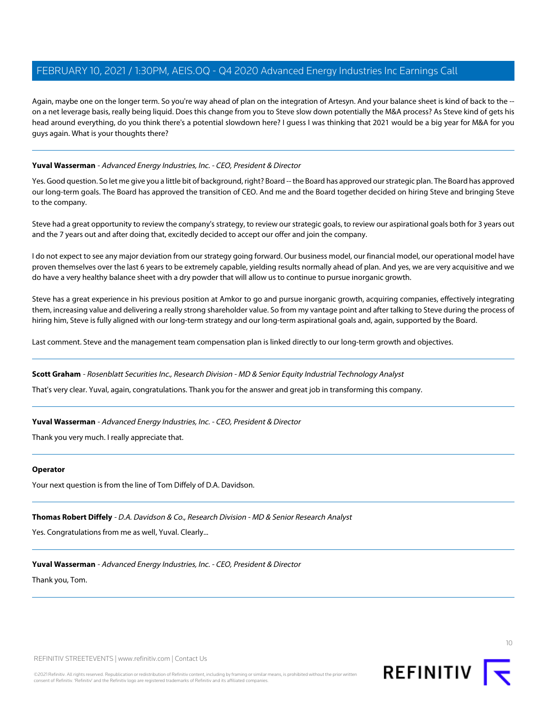Again, maybe one on the longer term. So you're way ahead of plan on the integration of Artesyn. And your balance sheet is kind of back to the -on a net leverage basis, really being liquid. Does this change from you to Steve slow down potentially the M&A process? As Steve kind of gets his head around everything, do you think there's a potential slowdown here? I guess I was thinking that 2021 would be a big year for M&A for you guys again. What is your thoughts there?

# **Yuval Wasserman** - Advanced Energy Industries, Inc. - CEO, President & Director

Yes. Good question. So let me give you a little bit of background, right? Board -- the Board has approved our strategic plan. The Board has approved our long-term goals. The Board has approved the transition of CEO. And me and the Board together decided on hiring Steve and bringing Steve to the company.

Steve had a great opportunity to review the company's strategy, to review our strategic goals, to review our aspirational goals both for 3 years out and the 7 years out and after doing that, excitedly decided to accept our offer and join the company.

I do not expect to see any major deviation from our strategy going forward. Our business model, our financial model, our operational model have proven themselves over the last 6 years to be extremely capable, yielding results normally ahead of plan. And yes, we are very acquisitive and we do have a very healthy balance sheet with a dry powder that will allow us to continue to pursue inorganic growth.

Steve has a great experience in his previous position at Amkor to go and pursue inorganic growth, acquiring companies, effectively integrating them, increasing value and delivering a really strong shareholder value. So from my vantage point and after talking to Steve during the process of hiring him, Steve is fully aligned with our long-term strategy and our long-term aspirational goals and, again, supported by the Board.

Last comment. Steve and the management team compensation plan is linked directly to our long-term growth and objectives.

# **Scott Graham** - Rosenblatt Securities Inc., Research Division - MD & Senior Equity Industrial Technology Analyst

That's very clear. Yuval, again, congratulations. Thank you for the answer and great job in transforming this company.

**Yuval Wasserman** - Advanced Energy Industries, Inc. - CEO, President & Director

Thank you very much. I really appreciate that.

# <span id="page-9-0"></span>**Operator**

Your next question is from the line of Tom Diffely of D.A. Davidson.

**Thomas Robert Diffely** - D.A. Davidson & Co., Research Division - MD & Senior Research Analyst

Yes. Congratulations from me as well, Yuval. Clearly...

**Yuval Wasserman** - Advanced Energy Industries, Inc. - CEO, President & Director

Thank you, Tom.

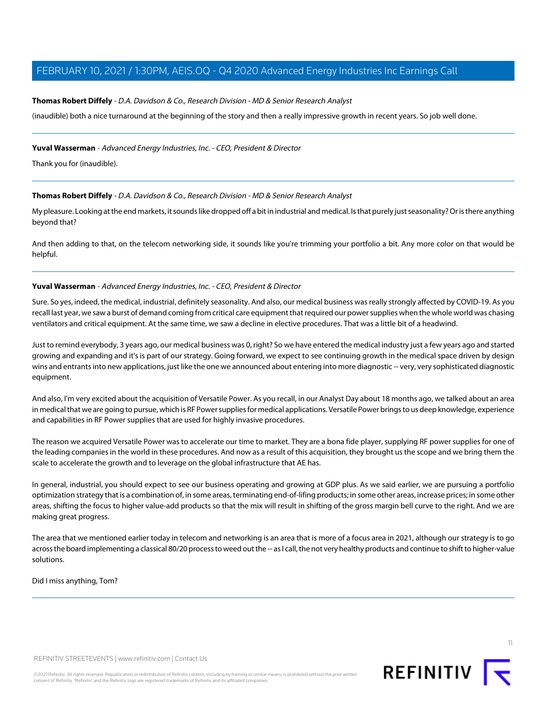## **Thomas Robert Diffely** - D.A. Davidson & Co., Research Division - MD & Senior Research Analyst

(inaudible) both a nice turnaround at the beginning of the story and then a really impressive growth in recent years. So job well done.

#### **Yuval Wasserman** - Advanced Energy Industries, Inc. - CEO, President & Director

Thank you for (inaudible).

#### **Thomas Robert Diffely** - D.A. Davidson & Co., Research Division - MD & Senior Research Analyst

My pleasure. Looking at the end markets, it sounds like dropped off a bit in industrial and medical. Is that purely just seasonality? Or is there anything beyond that?

And then adding to that, on the telecom networking side, it sounds like you're trimming your portfolio a bit. Any more color on that would be helpful.

## **Yuval Wasserman** - Advanced Energy Industries, Inc. - CEO, President & Director

Sure. So yes, indeed, the medical, industrial, definitely seasonality. And also, our medical business was really strongly affected by COVID-19. As you recall last year, we saw a burst of demand coming from critical care equipment that required our power supplies when the whole world was chasing ventilators and critical equipment. At the same time, we saw a decline in elective procedures. That was a little bit of a headwind.

Just to remind everybody, 3 years ago, our medical business was 0, right? So we have entered the medical industry just a few years ago and started growing and expanding and it's is part of our strategy. Going forward, we expect to see continuing growth in the medical space driven by design wins and entrants into new applications, just like the one we announced about entering into more diagnostic -- very, very sophisticated diagnostic equipment.

And also, I'm very excited about the acquisition of Versatile Power. As you recall, in our Analyst Day about 18 months ago, we talked about an area in medical that we are going to pursue, which is RF Power supplies for medical applications. Versatile Power brings to us deep knowledge, experience and capabilities in RF Power supplies that are used for highly invasive procedures.

The reason we acquired Versatile Power was to accelerate our time to market. They are a bona fide player, supplying RF power supplies for one of the leading companies in the world in these procedures. And now as a result of this acquisition, they brought us the scope and we bring them the scale to accelerate the growth and to leverage on the global infrastructure that AE has.

In general, industrial, you should expect to see our business operating and growing at GDP plus. As we said earlier, we are pursuing a portfolio optimization strategy that is a combination of, in some areas, terminating end-of-lifing products; in some other areas, increase prices; in some other areas, shifting the focus to higher value-add products so that the mix will result in shifting of the gross margin bell curve to the right. And we are making great progress.

The area that we mentioned earlier today in telecom and networking is an area that is more of a focus area in 2021, although our strategy is to go across the board implementing a classical 80/20 process to weed out the -- as I call, the not very healthy products and continue to shift to higher-value solutions.

Did I miss anything, Tom?



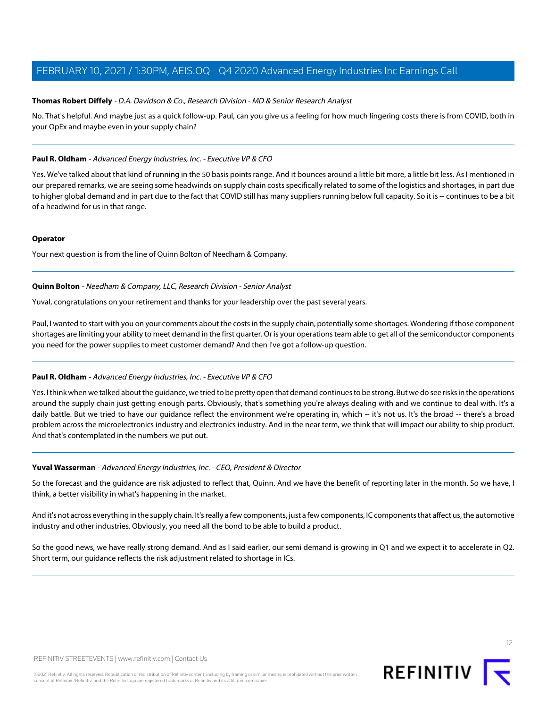# **Thomas Robert Diffely** - D.A. Davidson & Co., Research Division - MD & Senior Research Analyst

No. That's helpful. And maybe just as a quick follow-up. Paul, can you give us a feeling for how much lingering costs there is from COVID, both in your OpEx and maybe even in your supply chain?

## **Paul R. Oldham** - Advanced Energy Industries, Inc. - Executive VP & CFO

Yes. We've talked about that kind of running in the 50 basis points range. And it bounces around a little bit more, a little bit less. As I mentioned in our prepared remarks, we are seeing some headwinds on supply chain costs specifically related to some of the logistics and shortages, in part due to higher global demand and in part due to the fact that COVID still has many suppliers running below full capacity. So it is -- continues to be a bit of a headwind for us in that range.

## **Operator**

<span id="page-11-0"></span>Your next question is from the line of Quinn Bolton of Needham & Company.

## **Quinn Bolton** - Needham & Company, LLC, Research Division - Senior Analyst

Yuval, congratulations on your retirement and thanks for your leadership over the past several years.

Paul, I wanted to start with you on your comments about the costs in the supply chain, potentially some shortages. Wondering if those component shortages are limiting your ability to meet demand in the first quarter. Or is your operations team able to get all of the semiconductor components you need for the power supplies to meet customer demand? And then I've got a follow-up question.

# **Paul R. Oldham** - Advanced Energy Industries, Inc. - Executive VP & CFO

Yes. I think when we talked about the guidance, we tried to be pretty open that demand continues to be strong. But we do see risks in the operations around the supply chain just getting enough parts. Obviously, that's something you're always dealing with and we continue to deal with. It's a daily battle. But we tried to have our guidance reflect the environment we're operating in, which -- it's not us. It's the broad -- there's a broad problem across the microelectronics industry and electronics industry. And in the near term, we think that will impact our ability to ship product. And that's contemplated in the numbers we put out.

# **Yuval Wasserman** - Advanced Energy Industries, Inc. - CEO, President & Director

So the forecast and the guidance are risk adjusted to reflect that, Quinn. And we have the benefit of reporting later in the month. So we have, I think, a better visibility in what's happening in the market.

And it's not across everything in the supply chain. It's really a few components, just a few components, IC components that affect us, the automotive industry and other industries. Obviously, you need all the bond to be able to build a product.

So the good news, we have really strong demand. And as I said earlier, our semi demand is growing in Q1 and we expect it to accelerate in Q2. Short term, our guidance reflects the risk adjustment related to shortage in ICs.

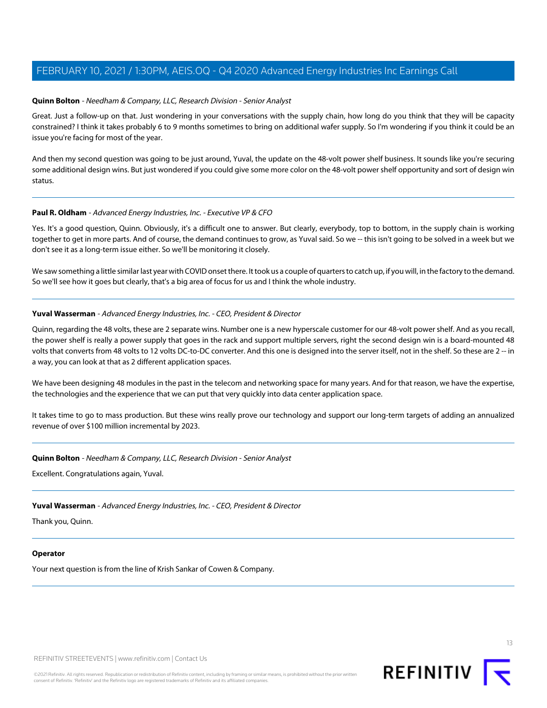## **Quinn Bolton** - Needham & Company, LLC, Research Division - Senior Analyst

Great. Just a follow-up on that. Just wondering in your conversations with the supply chain, how long do you think that they will be capacity constrained? I think it takes probably 6 to 9 months sometimes to bring on additional wafer supply. So I'm wondering if you think it could be an issue you're facing for most of the year.

And then my second question was going to be just around, Yuval, the update on the 48-volt power shelf business. It sounds like you're securing some additional design wins. But just wondered if you could give some more color on the 48-volt power shelf opportunity and sort of design win status.

## **Paul R. Oldham** - Advanced Energy Industries, Inc. - Executive VP & CFO

Yes. It's a good question, Quinn. Obviously, it's a difficult one to answer. But clearly, everybody, top to bottom, in the supply chain is working together to get in more parts. And of course, the demand continues to grow, as Yuval said. So we -- this isn't going to be solved in a week but we don't see it as a long-term issue either. So we'll be monitoring it closely.

We saw something a little similar last year with COVID onset there. It took us a couple of quarters to catch up, if you will, in the factory to the demand. So we'll see how it goes but clearly, that's a big area of focus for us and I think the whole industry.

## **Yuval Wasserman** - Advanced Energy Industries, Inc. - CEO, President & Director

Quinn, regarding the 48 volts, these are 2 separate wins. Number one is a new hyperscale customer for our 48-volt power shelf. And as you recall, the power shelf is really a power supply that goes in the rack and support multiple servers, right the second design win is a board-mounted 48 volts that converts from 48 volts to 12 volts DC-to-DC converter. And this one is designed into the server itself, not in the shelf. So these are 2 -- in a way, you can look at that as 2 different application spaces.

We have been designing 48 modules in the past in the telecom and networking space for many years. And for that reason, we have the expertise, the technologies and the experience that we can put that very quickly into data center application space.

It takes time to go to mass production. But these wins really prove our technology and support our long-term targets of adding an annualized revenue of over \$100 million incremental by 2023.

#### **Quinn Bolton** - Needham & Company, LLC, Research Division - Senior Analyst

Excellent. Congratulations again, Yuval.

#### **Yuval Wasserman** - Advanced Energy Industries, Inc. - CEO, President & Director

Thank you, Quinn.

#### **Operator**

Your next question is from the line of Krish Sankar of Cowen & Company.

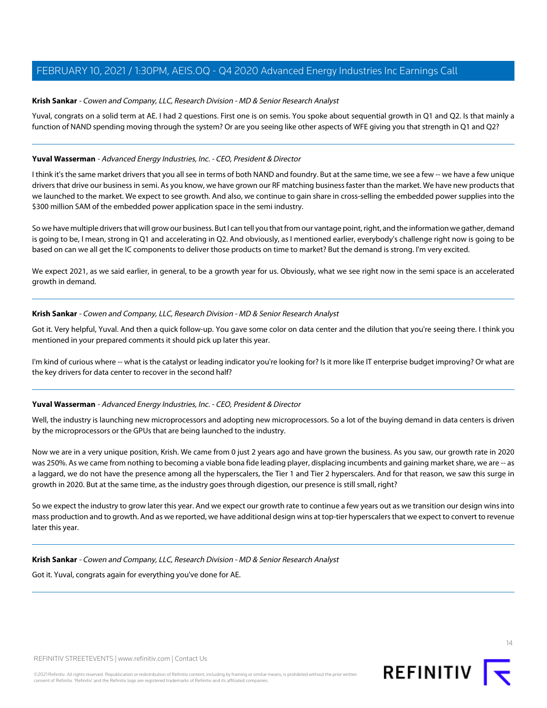## <span id="page-13-0"></span>**Krish Sankar** - Cowen and Company, LLC, Research Division - MD & Senior Research Analyst

Yuval, congrats on a solid term at AE. I had 2 questions. First one is on semis. You spoke about sequential growth in Q1 and Q2. Is that mainly a function of NAND spending moving through the system? Or are you seeing like other aspects of WFE giving you that strength in Q1 and Q2?

## **Yuval Wasserman** - Advanced Energy Industries, Inc. - CEO, President & Director

I think it's the same market drivers that you all see in terms of both NAND and foundry. But at the same time, we see a few -- we have a few unique drivers that drive our business in semi. As you know, we have grown our RF matching business faster than the market. We have new products that we launched to the market. We expect to see growth. And also, we continue to gain share in cross-selling the embedded power supplies into the \$300 million SAM of the embedded power application space in the semi industry.

So we have multiple drivers that will grow our business. But I can tell you that from our vantage point, right, and the information we gather, demand is going to be, I mean, strong in Q1 and accelerating in Q2. And obviously, as I mentioned earlier, everybody's challenge right now is going to be based on can we all get the IC components to deliver those products on time to market? But the demand is strong. I'm very excited.

We expect 2021, as we said earlier, in general, to be a growth year for us. Obviously, what we see right now in the semi space is an accelerated growth in demand.

## **Krish Sankar** - Cowen and Company, LLC, Research Division - MD & Senior Research Analyst

Got it. Very helpful, Yuval. And then a quick follow-up. You gave some color on data center and the dilution that you're seeing there. I think you mentioned in your prepared comments it should pick up later this year.

I'm kind of curious where -- what is the catalyst or leading indicator you're looking for? Is it more like IT enterprise budget improving? Or what are the key drivers for data center to recover in the second half?

# **Yuval Wasserman** - Advanced Energy Industries, Inc. - CEO, President & Director

Well, the industry is launching new microprocessors and adopting new microprocessors. So a lot of the buying demand in data centers is driven by the microprocessors or the GPUs that are being launched to the industry.

Now we are in a very unique position, Krish. We came from 0 just 2 years ago and have grown the business. As you saw, our growth rate in 2020 was 250%. As we came from nothing to becoming a viable bona fide leading player, displacing incumbents and gaining market share, we are -- as a laggard, we do not have the presence among all the hyperscalers, the Tier 1 and Tier 2 hyperscalers. And for that reason, we saw this surge in growth in 2020. But at the same time, as the industry goes through digestion, our presence is still small, right?

So we expect the industry to grow later this year. And we expect our growth rate to continue a few years out as we transition our design wins into mass production and to growth. And as we reported, we have additional design wins at top-tier hyperscalers that we expect to convert to revenue later this year.

**Krish Sankar** - Cowen and Company, LLC, Research Division - MD & Senior Research Analyst

Got it. Yuval, congrats again for everything you've done for AE.

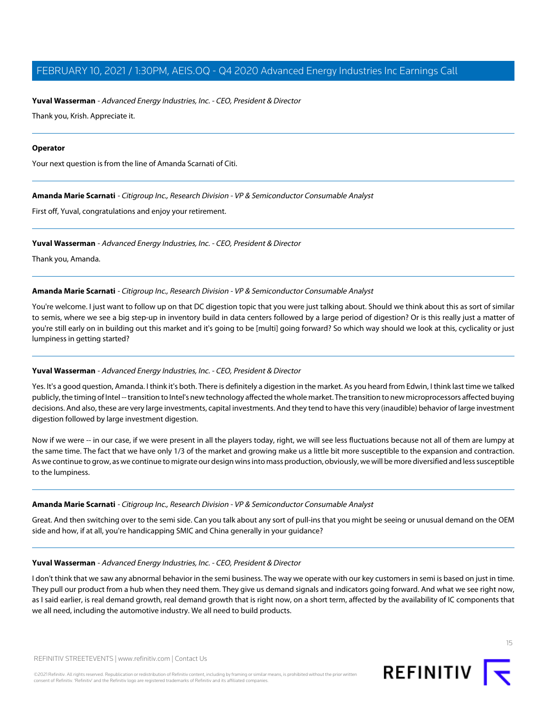#### **Yuval Wasserman** - Advanced Energy Industries, Inc. - CEO, President & Director

Thank you, Krish. Appreciate it.

#### **Operator**

<span id="page-14-0"></span>Your next question is from the line of Amanda Scarnati of Citi.

**Amanda Marie Scarnati** - Citigroup Inc., Research Division - VP & Semiconductor Consumable Analyst

First off, Yuval, congratulations and enjoy your retirement.

**Yuval Wasserman** - Advanced Energy Industries, Inc. - CEO, President & Director

Thank you, Amanda.

#### **Amanda Marie Scarnati** - Citigroup Inc., Research Division - VP & Semiconductor Consumable Analyst

You're welcome. I just want to follow up on that DC digestion topic that you were just talking about. Should we think about this as sort of similar to semis, where we see a big step-up in inventory build in data centers followed by a large period of digestion? Or is this really just a matter of you're still early on in building out this market and it's going to be [multi] going forward? So which way should we look at this, cyclicality or just lumpiness in getting started?

#### **Yuval Wasserman** - Advanced Energy Industries, Inc. - CEO, President & Director

Yes. It's a good question, Amanda. I think it's both. There is definitely a digestion in the market. As you heard from Edwin, I think last time we talked publicly, the timing of Intel -- transition to Intel's new technology affected the whole market. The transition to new microprocessors affected buying decisions. And also, these are very large investments, capital investments. And they tend to have this very (inaudible) behavior of large investment digestion followed by large investment digestion.

Now if we were -- in our case, if we were present in all the players today, right, we will see less fluctuations because not all of them are lumpy at the same time. The fact that we have only 1/3 of the market and growing make us a little bit more susceptible to the expansion and contraction. As we continue to grow, as we continue to migrate our design wins into mass production, obviously, we will be more diversified and less susceptible to the lumpiness.

#### **Amanda Marie Scarnati** - Citigroup Inc., Research Division - VP & Semiconductor Consumable Analyst

Great. And then switching over to the semi side. Can you talk about any sort of pull-ins that you might be seeing or unusual demand on the OEM side and how, if at all, you're handicapping SMIC and China generally in your guidance?

#### **Yuval Wasserman** - Advanced Energy Industries, Inc. - CEO, President & Director

I don't think that we saw any abnormal behavior in the semi business. The way we operate with our key customers in semi is based on just in time. They pull our product from a hub when they need them. They give us demand signals and indicators going forward. And what we see right now, as I said earlier, is real demand growth, real demand growth that is right now, on a short term, affected by the availability of IC components that we all need, including the automotive industry. We all need to build products.

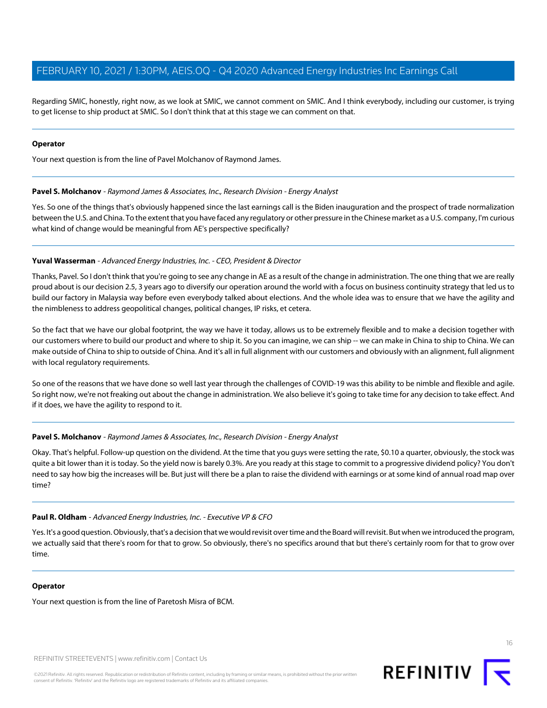Regarding SMIC, honestly, right now, as we look at SMIC, we cannot comment on SMIC. And I think everybody, including our customer, is trying to get license to ship product at SMIC. So I don't think that at this stage we can comment on that.

#### **Operator**

<span id="page-15-0"></span>Your next question is from the line of Pavel Molchanov of Raymond James.

## **Pavel S. Molchanov** - Raymond James & Associates, Inc., Research Division - Energy Analyst

Yes. So one of the things that's obviously happened since the last earnings call is the Biden inauguration and the prospect of trade normalization between the U.S. and China. To the extent that you have faced any regulatory or other pressure in the Chinese market as a U.S. company, I'm curious what kind of change would be meaningful from AE's perspective specifically?

# **Yuval Wasserman** - Advanced Energy Industries, Inc. - CEO, President & Director

Thanks, Pavel. So I don't think that you're going to see any change in AE as a result of the change in administration. The one thing that we are really proud about is our decision 2.5, 3 years ago to diversify our operation around the world with a focus on business continuity strategy that led us to build our factory in Malaysia way before even everybody talked about elections. And the whole idea was to ensure that we have the agility and the nimbleness to address geopolitical changes, political changes, IP risks, et cetera.

So the fact that we have our global footprint, the way we have it today, allows us to be extremely flexible and to make a decision together with our customers where to build our product and where to ship it. So you can imagine, we can ship -- we can make in China to ship to China. We can make outside of China to ship to outside of China. And it's all in full alignment with our customers and obviously with an alignment, full alignment with local regulatory requirements.

So one of the reasons that we have done so well last year through the challenges of COVID-19 was this ability to be nimble and flexible and agile. So right now, we're not freaking out about the change in administration. We also believe it's going to take time for any decision to take effect. And if it does, we have the agility to respond to it.

# **Pavel S. Molchanov** - Raymond James & Associates, Inc., Research Division - Energy Analyst

Okay. That's helpful. Follow-up question on the dividend. At the time that you guys were setting the rate, \$0.10 a quarter, obviously, the stock was quite a bit lower than it is today. So the yield now is barely 0.3%. Are you ready at this stage to commit to a progressive dividend policy? You don't need to say how big the increases will be. But just will there be a plan to raise the dividend with earnings or at some kind of annual road map over time?

#### **Paul R. Oldham** - Advanced Energy Industries, Inc. - Executive VP & CFO

Yes. It's a good question. Obviously, that's a decision that we would revisit over time and the Board will revisit. But when we introduced the program, we actually said that there's room for that to grow. So obviously, there's no specifics around that but there's certainly room for that to grow over time.

#### **Operator**

Your next question is from the line of Paretosh Misra of BCM.

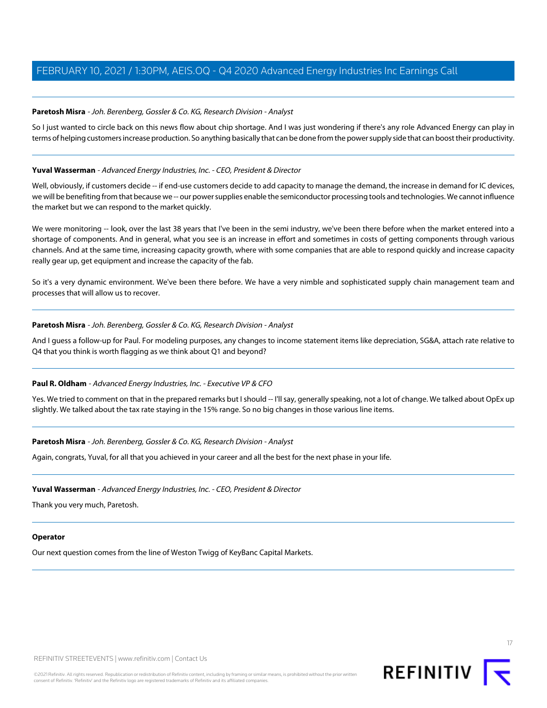## <span id="page-16-0"></span>**Paretosh Misra** - Joh. Berenberg, Gossler & Co. KG, Research Division - Analyst

So I just wanted to circle back on this news flow about chip shortage. And I was just wondering if there's any role Advanced Energy can play in terms of helping customers increase production. So anything basically that can be done from the power supply side that can boost their productivity.

#### **Yuval Wasserman** - Advanced Energy Industries, Inc. - CEO, President & Director

Well, obviously, if customers decide -- if end-use customers decide to add capacity to manage the demand, the increase in demand for IC devices, we will be benefiting from that because we -- our power supplies enable the semiconductor processing tools and technologies. We cannot influence the market but we can respond to the market quickly.

We were monitoring -- look, over the last 38 years that I've been in the semi industry, we've been there before when the market entered into a shortage of components. And in general, what you see is an increase in effort and sometimes in costs of getting components through various channels. And at the same time, increasing capacity growth, where with some companies that are able to respond quickly and increase capacity really gear up, get equipment and increase the capacity of the fab.

So it's a very dynamic environment. We've been there before. We have a very nimble and sophisticated supply chain management team and processes that will allow us to recover.

#### **Paretosh Misra** - Joh. Berenberg, Gossler & Co. KG, Research Division - Analyst

And I guess a follow-up for Paul. For modeling purposes, any changes to income statement items like depreciation, SG&A, attach rate relative to Q4 that you think is worth flagging as we think about Q1 and beyond?

#### **Paul R. Oldham** - Advanced Energy Industries, Inc. - Executive VP & CFO

Yes. We tried to comment on that in the prepared remarks but I should -- I'll say, generally speaking, not a lot of change. We talked about OpEx up slightly. We talked about the tax rate staying in the 15% range. So no big changes in those various line items.

#### **Paretosh Misra** - Joh. Berenberg, Gossler & Co. KG, Research Division - Analyst

Again, congrats, Yuval, for all that you achieved in your career and all the best for the next phase in your life.

# **Yuval Wasserman** - Advanced Energy Industries, Inc. - CEO, President & Director

Thank you very much, Paretosh.

#### **Operator**

Our next question comes from the line of Weston Twigg of KeyBanc Capital Markets.

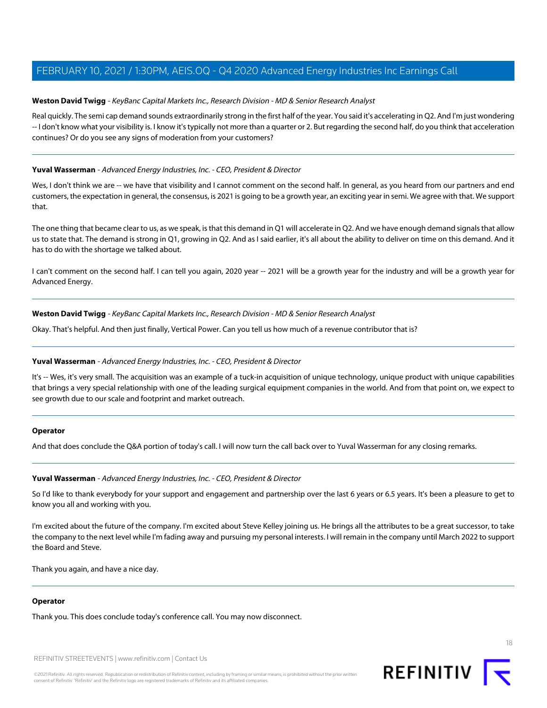## <span id="page-17-0"></span>**Weston David Twigg** - KeyBanc Capital Markets Inc., Research Division - MD & Senior Research Analyst

Real quickly. The semi cap demand sounds extraordinarily strong in the first half of the year. You said it's accelerating in Q2. And I'm just wondering -- I don't know what your visibility is. I know it's typically not more than a quarter or 2. But regarding the second half, do you think that acceleration continues? Or do you see any signs of moderation from your customers?

## **Yuval Wasserman** - Advanced Energy Industries, Inc. - CEO, President & Director

Wes, I don't think we are -- we have that visibility and I cannot comment on the second half. In general, as you heard from our partners and end customers, the expectation in general, the consensus, is 2021 is going to be a growth year, an exciting year in semi. We agree with that. We support that.

The one thing that became clear to us, as we speak, is that this demand in Q1 will accelerate in Q2. And we have enough demand signals that allow us to state that. The demand is strong in Q1, growing in Q2. And as I said earlier, it's all about the ability to deliver on time on this demand. And it has to do with the shortage we talked about.

I can't comment on the second half. I can tell you again, 2020 year -- 2021 will be a growth year for the industry and will be a growth year for Advanced Energy.

**Weston David Twigg** - KeyBanc Capital Markets Inc., Research Division - MD & Senior Research Analyst

Okay. That's helpful. And then just finally, Vertical Power. Can you tell us how much of a revenue contributor that is?

# **Yuval Wasserman** - Advanced Energy Industries, Inc. - CEO, President & Director

It's -- Wes, it's very small. The acquisition was an example of a tuck-in acquisition of unique technology, unique product with unique capabilities that brings a very special relationship with one of the leading surgical equipment companies in the world. And from that point on, we expect to see growth due to our scale and footprint and market outreach.

#### **Operator**

And that does conclude the Q&A portion of today's call. I will now turn the call back over to Yuval Wasserman for any closing remarks.

#### **Yuval Wasserman** - Advanced Energy Industries, Inc. - CEO, President & Director

So I'd like to thank everybody for your support and engagement and partnership over the last 6 years or 6.5 years. It's been a pleasure to get to know you all and working with you.

I'm excited about the future of the company. I'm excited about Steve Kelley joining us. He brings all the attributes to be a great successor, to take the company to the next level while I'm fading away and pursuing my personal interests. I will remain in the company until March 2022 to support the Board and Steve.

Thank you again, and have a nice day.

#### **Operator**

Thank you. This does conclude today's conference call. You may now disconnect.